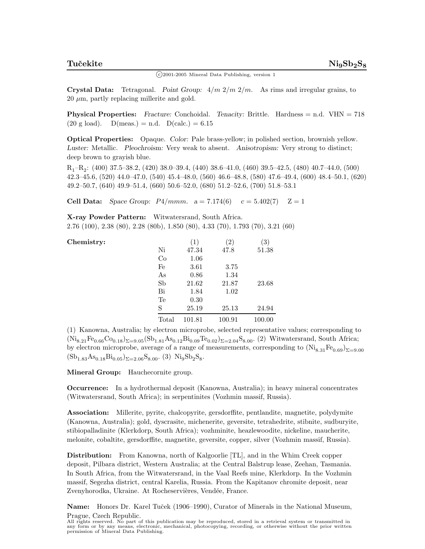$(c)$  2001-2005 Mineral Data Publishing, version 1

**Crystal Data:** Tetragonal. *Point Group:* 4*/m* 2*/m* 2*/m.* As rims and irregular grains, to  $20 \mu m$ , partly replacing millerite and gold.

**Physical Properties:** *Fracture:* Conchoidal. *Tenacity:* Brittle. Hardness = n.d. VHN = 718  $(20 \text{ g load})$ .  $D(meas.) = n.d.$   $D(calc.) = 6.15$ 

**Optical Properties:** Opaque. *Color:* Pale brass-yellow; in polished section, brownish yellow. *Luster:* Metallic. *Pleochroism:* Very weak to absent. *Anisotropism:* Very strong to distinct; deep brown to grayish blue.

R1–R2: (400) 37.5–38.2, (420) 38.0–39.4, (440) 38.6–41.0, (460) 39.5–42.5, (480) 40.7–44.0, (500) 42.3–45.6, (520) 44.0–47.0, (540) 45.4–48.0, (560) 46.6–48.8, (580) 47.6–49.4, (600) 48.4–50.1, (620) 49.2–50.7, (640) 49.9–51.4, (660) 50.6–52.0, (680) 51.2–52.6, (700) 51.8–53.1

**Cell Data:** *Space Group:*  $P4/mmm$ .  $a = 7.174(6)$   $c = 5.402(7)$   $Z = 1$ 

**X-ray Powder Pattern:** Witwatersrand, South Africa. 2.76 (100), 2.38 (80), 2.28 (80b), 1.850 (80), 4.33 (70), 1.793 (70), 3.21 (60)

| Chemistry: |       | (1)    | $\left( 2\right)$ | (3)    |
|------------|-------|--------|-------------------|--------|
|            | Ni    | 47.34  | 47.8              | 51.38  |
|            | Co    | 1.06   |                   |        |
|            | Fe    | 3.61   | 3.75              |        |
|            | As    | 0.86   | 1.34              |        |
|            | Sb    | 21.62  | 21.87             | 23.68  |
|            | Bi    | 1.84   | 1.02              |        |
|            | Te    | 0.30   |                   |        |
|            | S     | 25.19  | 25.13             | 24.94  |
|            | Total | 101.81 | 100.91            | 100.00 |

(1) Kanowna, Australia; by electron microprobe, selected representative values; corresponding to  $(Ni_{8.21}Fe_{0.66}Co_{0.18})_{\Sigma=9.05}(Sb_{1.81}As_{0.12}Bi_{0.09}Te_{0.02})_{\Sigma=2.04}S_{8.00}.$  (2) Witwatersrand, South Africa; by electron microprobe, average of a range of measurements, corresponding to  $(Ni_{8.31}Fe_{0.69})_{\Sigma=9.00}$  $(Sb_{1.83}As_{0.18}Bi_{0.05})_{\Sigma=2.06}S_{8.00}.$  (3)  $Ni_{9}Sb_{2}S_{8}.$ 

**Mineral Group:** Hauchecornite group.

**Occurrence:** In a hydrothermal deposit (Kanowna, Australia); in heavy mineral concentrates (Witwatersrand, South Africa); in serpentinites (Vozhmin massif, Russia).

**Association:** Millerite, pyrite, chalcopyrite, gersdorffite, pentlandite, magnetite, polydymite (Kanowna, Australia); gold, dyscrasite, michenerite, geversite, tetrahedrite, stibnite, sudburyite, stibiopalladinite (Klerkdorp, South Africa); vozhminite, heazlewoodite, nickeline, maucherite, melonite, cobaltite, gersdorffite, magnetite, geversite, copper, silver (Vozhmin massif, Russia).

**Distribution:** From Kanowna, north of Kalgoorlie [TL], and in the Whim Creek copper deposit, Pilbara district, Western Australia; at the Central Balstrup lease, Zeehan, Tasmania. In South Africa, from the Witwatersrand, in the Vaal Reefs mine, Klerkdorp. In the Vozhmin massif, Segezha district, central Karelia, Russia. From the Kapitanov chromite deposit, near Zvenyhorodka, Ukraine. At Rocheservières, Vendée, France.

**Name:** Honors Dr. Karel Tuček (1906–1990), Curator of Minerals in the National Museum, Prague, Czech Republic.

All rights reserved. No part of this publication may be reproduced, stored in a retrieval system or transmitted in any form or by any means, electronic, mechanical, photocopying, recording, or otherwise without the prior written permission of Mineral Data Publishing.